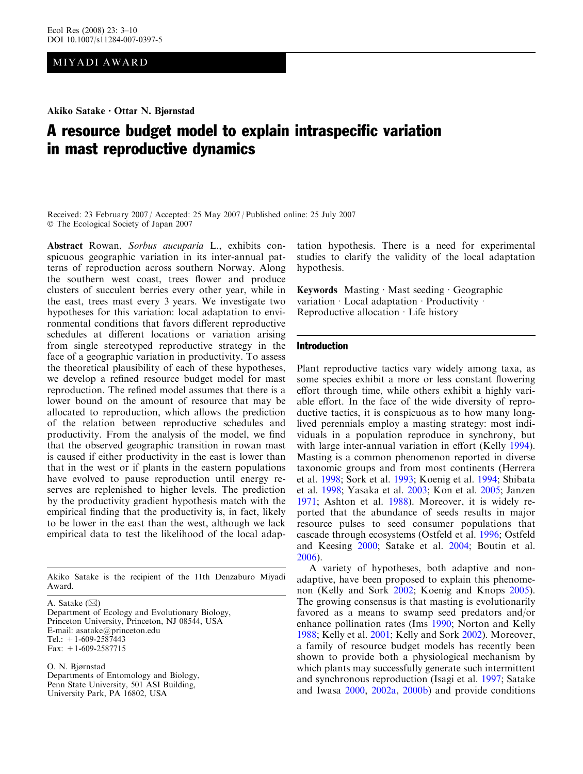# MIYADI AWARD

Akiko Satake · Ottar N. Bjørnstad

# A resource budget model to explain intraspecific variation in mast reproductive dynamics

Received: 23 February 2007 / Accepted: 25 May 2007 / Published online: 25 July 2007 The Ecological Society of Japan 2007

Abstract Rowan, Sorbus aucuparia L., exhibits conspicuous geographic variation in its inter-annual patterns of reproduction across southern Norway. Along the southern west coast, trees flower and produce clusters of succulent berries every other year, while in the east, trees mast every 3 years. We investigate two hypotheses for this variation: local adaptation to environmental conditions that favors different reproductive schedules at different locations or variation arising from single stereotyped reproductive strategy in the face of a geographic variation in productivity. To assess the theoretical plausibility of each of these hypotheses, we develop a refined resource budget model for mast reproduction. The refined model assumes that there is a lower bound on the amount of resource that may be allocated to reproduction, which allows the prediction of the relation between reproductive schedules and productivity. From the analysis of the model, we find that the observed geographic transition in rowan mast is caused if either productivity in the east is lower than that in the west or if plants in the eastern populations have evolved to pause reproduction until energy reserves are replenished to higher levels. The prediction by the productivity gradient hypothesis match with the empirical finding that the productivity is, in fact, likely to be lower in the east than the west, although we lack empirical data to test the likelihood of the local adap-

Akiko Satake is the recipient of the 11th Denzaburo Miyadi Award.

A. Satake  $(\boxtimes)$ Department of Ecology and Evolutionary Biology, Princeton University, Princeton, NJ 08544, USA E-mail: asatake@princeton.edu Tel.:  $+1-609-2587443$ Fax: +1-609-2587715

O. N. Bjørnstad Departments of Entomology and Biology, Penn State University, 501 ASI Building, University Park, PA 16802, USA

tation hypothesis. There is a need for experimental studies to clarify the validity of the local adaptation hypothesis.

Keywords Masting  $\cdot$  Mast seeding  $\cdot$  Geographic variation  $\cdot$  Local adaptation  $\cdot$  Productivity  $\cdot$ Reproductive allocation  $\cdot$  Life history

## Introduction

Plant reproductive tactics vary widely among taxa, as some species exhibit a more or less constant flowering effort through time, while others exhibit a highly variable effort. In the face of the wide diversity of reproductive tactics, it is conspicuous as to how many longlived perennials employ a masting strategy: most individuals in a population reproduce in synchrony, but with large inter-annual variation in effort (Kelly [1994\)](#page-7-0). Masting is a common phenomenon reported in diverse taxonomic groups and from most continents (Herrera et al. [1998](#page-6-0); Sork et al. [1993;](#page-7-0) Koenig et al. [1994](#page-7-0); Shibata et al. [1998;](#page-7-0) Yasaka et al. [2003;](#page-7-0) Kon et al. [2005](#page-7-0); Janzen [1971;](#page-7-0) Ashton et al. [1988](#page-6-0)). Moreover, it is widely reported that the abundance of seeds results in major resource pulses to seed consumer populations that cascade through ecosystems (Ostfeld et al. [1996](#page-7-0); Ostfeld and Keesing [2000;](#page-7-0) Satake et al. [2004](#page-7-0); Boutin et al. [2006\)](#page-6-0).

A variety of hypotheses, both adaptive and nonadaptive, have been proposed to explain this phenomenon (Kelly and Sork [2002](#page-7-0); Koenig and Knops [2005\)](#page-7-0). The growing consensus is that masting is evolutionarily favored as a means to swamp seed predators and/or enhance pollination rates (Ims [1990](#page-6-0); Norton and Kelly [1988;](#page-7-0) Kelly et al. [2001;](#page-7-0) Kelly and Sork [2002\)](#page-7-0). Moreover, a family of resource budget models has recently been shown to provide both a physiological mechanism by which plants may successfully generate such intermittent and synchronous reproduction (Isagi et al. [1997](#page-7-0); Satake and Iwasa [2000,](#page-7-0) [2002a,](#page-7-0) [2000b](#page-7-0)) and provide conditions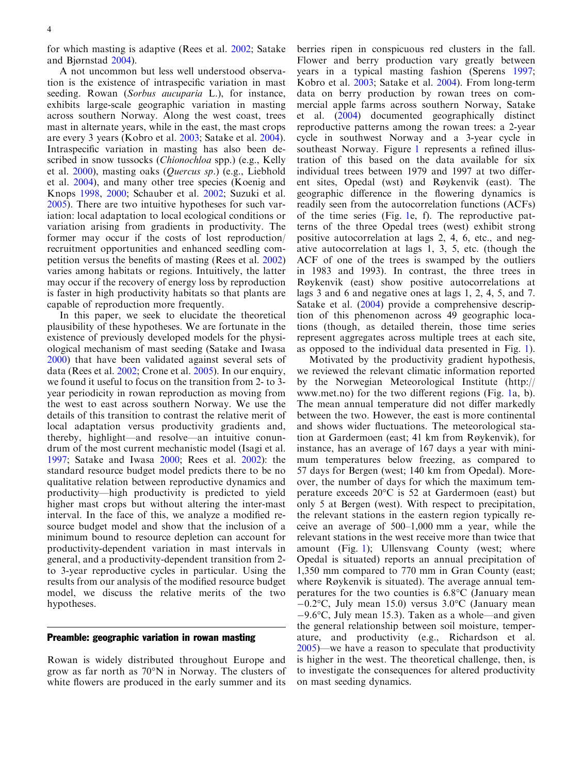for which masting is adaptive (Rees et al. [2002](#page-7-0); Satake and Bjørnstad [2004](#page-7-0)).

A not uncommon but less well understood observation is the existence of intraspecific variation in mast seeding. Rowan (Sorbus aucuparia L.), for instance, exhibits large-scale geographic variation in masting across southern Norway. Along the west coast, trees mast in alternate years, while in the east, the mast crops are every 3 years (Kobro et al. [2003;](#page-7-0) Satake et al. [2004\)](#page-7-0). Intraspecific variation in masting has also been described in snow tussocks (Chionochloa spp.) (e.g., Kelly et al. [2000\)](#page-7-0), masting oaks (Quercus sp.) (e.g., Liebhold et al. [2004](#page-7-0)), and many other tree species (Koenig and Knops [1998,](#page-7-0) [2000](#page-7-0); Schauber et al. [2002](#page-7-0); Suzuki et al. [2005](#page-7-0)). There are two intuitive hypotheses for such variation: local adaptation to local ecological conditions or variation arising from gradients in productivity. The former may occur if the costs of lost reproduction/ recruitment opportunities and enhanced seedling competition versus the benefits of masting (Rees et al. [2002\)](#page-7-0) varies among habitats or regions. Intuitively, the latter may occur if the recovery of energy loss by reproduction is faster in high productivity habitats so that plants are capable of reproduction more frequently.

In this paper, we seek to elucidate the theoretical plausibility of these hypotheses. We are fortunate in the existence of previously developed models for the physiological mechanism of mast seeding (Satake and Iwasa [2000](#page-7-0)) that have been validated against several sets of data (Rees et al. [2002;](#page-7-0) Crone et al. [2005](#page-6-0)). In our enquiry, we found it useful to focus on the transition from 2- to 3 year periodicity in rowan reproduction as moving from the west to east across southern Norway. We use the details of this transition to contrast the relative merit of local adaptation versus productivity gradients and, thereby, highlight—and resolve—an intuitive conundrum of the most current mechanistic model (Isagi et al. [1997](#page-7-0); Satake and Iwasa [2000;](#page-7-0) Rees et al. [2002](#page-7-0)): the standard resource budget model predicts there to be no qualitative relation between reproductive dynamics and productivity—high productivity is predicted to yield higher mast crops but without altering the inter-mast interval. In the face of this, we analyze a modified resource budget model and show that the inclusion of a minimum bound to resource depletion can account for productivity-dependent variation in mast intervals in general, and a productivity-dependent transition from 2 to 3-year reproductive cycles in particular. Using the results from our analysis of the modified resource budget model, we discuss the relative merits of the two hypotheses.

### Preamble: geographic variation in rowan masting

Rowan is widely distributed throughout Europe and grow as far north as 70°N in Norway. The clusters of white flowers are produced in the early summer and its

berries ripen in conspicuous red clusters in the fall. Flower and berry production vary greatly between years in a typical masting fashion (Sperens [1997](#page-7-0); Kobro et al. [2003;](#page-7-0) Satake et al. [2004\)](#page-7-0). From long-term data on berry production by rowan trees on commercial apple farms across southern Norway, Satake et al. [\(2004](#page-7-0)) documented geographically distinct reproductive patterns among the rowan trees: a 2-year cycle in southwest Norway and a 3-year cycle in southeast Norway. Figure [1](#page-2-0) represents a refined illustration of this based on the data available for six individual trees between 1979 and 1997 at two different sites, Opedal (wst) and Røykenvik (east). The geographic difference in the flowering dynamics is readily seen from the autocorrelation functions (ACFs) of the time series (Fig. [1](#page-2-0)e, f). The reproductive patterns of the three Opedal trees (west) exhibit strong positive autocorrelation at lags 2, 4, 6, etc., and negative autocorrelation at lags 1, 3, 5, etc. (though the ACF of one of the trees is swamped by the outliers in 1983 and 1993). In contrast, the three trees in Røykenvik (east) show positive autocorrelations at lags 3 and 6 and negative ones at lags 1, 2, 4, 5, and 7. Satake et al. [\(2004\)](#page-7-0) provide a comprehensive description of this phenomenon across 49 geographic locations (though, as detailed therein, those time series represent aggregates across multiple trees at each site, as opposed to the individual data presented in Fig. [1\)](#page-2-0).

Motivated by the productivity gradient hypothesis, we reviewed the relevant climatic information reported by the Norwegian Meteorological Institute (http:// www.met.no) for the two different regions (Fig. [1a](#page-2-0), b). The mean annual temperature did not differ markedly between the two. However, the east is more continental and shows wider fluctuations. The meteorological station at Gardermoen (east; 41 km from Røykenvik), for instance, has an average of 167 days a year with minimum temperatures below freezing, as compared to 57 days for Bergen (west; 140 km from Opedal). Moreover, the number of days for which the maximum temperature exceeds 20°C is 52 at Gardermoen (east) but only 5 at Bergen (west). With respect to precipitation, the relevant stations in the eastern region typically receive an average of 500–1,000 mm a year, while the relevant stations in the west receive more than twice that amount (Fig. [1\)](#page-2-0); Ullensvang County (west; where Opedal is situated) reports an annual precipitation of 1,350 mm compared to 770 mm in Gran County (east; where Røykenvik is situated). The average annual temperatures for the two counties is  $6.8^{\circ}$ C (January mean  $-0.2$ °C, July mean 15.0) versus 3.0°C (January mean  $-9.6$ °C, July mean 15.3). Taken as a whole—and given the general relationship between soil moisture, temperature, and productivity (e.g., Richardson et al. [2005\)](#page-7-0)—we have a reason to speculate that productivity is higher in the west. The theoretical challenge, then, is to investigate the consequences for altered productivity on mast seeding dynamics.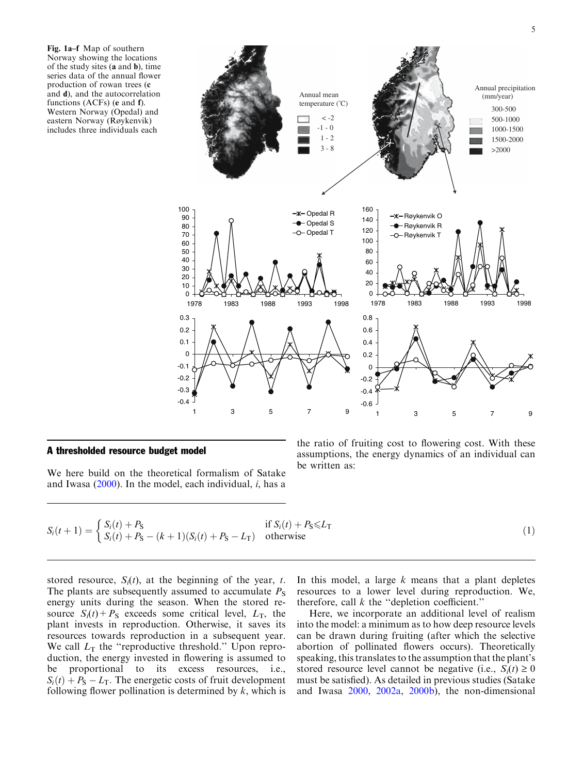<span id="page-2-0"></span>Fig. 1a–f Map of southern Norway showing the locations of the study sites (a and b), time series data of the annual flower production of rowan trees (c and d), and the autocorrelation functions (ACFs) (e and f). Western Norway (Opedal) and eastern Norway (Røykenvik) includes three individuals each



#### A thresholded resource budget model

We here build on the theoretical formalism of Satake and Iwasa  $(2000)$  $(2000)$  $(2000)$ . In the model, each individual, *i*, has a the ratio of fruiting cost to flowering cost. With these assumptions, the energy dynamics of an individual can be written as:

$$
S_i(t+1) = \begin{cases} S_i(t) + P_{\rm S} & \text{if } S_i(t) + P_{\rm S} \le L_{\rm T} \\ S_i(t) + P_{\rm S} - (k+1)(S_i(t) + P_{\rm S} - L_{\rm T}) & \text{otherwise} \end{cases}
$$
(1)

stored resource,  $S_i(t)$ , at the beginning of the year, t. The plants are subsequently assumed to accumulate  $P<sub>S</sub>$ energy units during the season. When the stored resource  $S_i(t) + P_S$  exceeds some critical level,  $L_T$ , the plant invests in reproduction. Otherwise, it saves its resources towards reproduction in a subsequent year. We call  $L<sub>T</sub>$  the "reproductive threshold." Upon reproduction, the energy invested in flowering is assumed to be proportional to its excess resources, i.e.,  $S_i(t) + P_S - L_T$ . The energetic costs of fruit development following flower pollination is determined by  $k$ , which is

In this model, a large  $k$  means that a plant depletes resources to a lower level during reproduction. We, therefore, call  $k$  the "depletion coefficient."

Here, we incorporate an additional level of realism into the model: a minimum as to how deep resource levels can be drawn during fruiting (after which the selective abortion of pollinated flowers occurs). Theoretically speaking, this translates to the assumption that the plant's stored resource level cannot be negative (i.e.,  $S_i(t) \ge 0$ must be satisfied). As detailed in previous studies (Satake and Iwasa [2000](#page-7-0), [2002a,](#page-7-0) [2000b\)](#page-7-0), the non-dimensional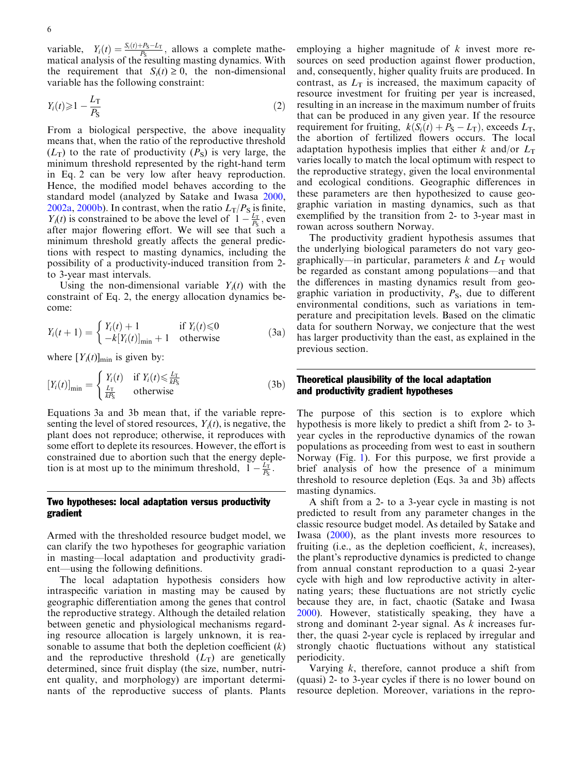variable,  $Y_i(t) = \frac{S_i(t) + P_S - L_T}{P_S}$ , allows a complete mathe-<br>matical analysis of the resulting masting dynamics. With the requirement that  $S_i(t) \geq 0$ , the non-dimensional variable has the following constraint:

$$
Y_i(t) \geqslant 1 - \frac{L_{\rm T}}{P_{\rm S}}\tag{2}
$$

From a biological perspective, the above inequality means that, when the ratio of the reproductive threshold  $(L_T)$  to the rate of productivity  $(P_S)$  is very large, the minimum threshold represented by the right-hand term in Eq. 2 can be very low after heavy reproduction. Hence, the modified model behaves according to the standard model (analyzed by Satake and Iwasa [2000](#page-7-0), [2002a,](#page-7-0) [2000b\)](#page-7-0). In contrast, when the ratio  $L_T/P_S$  is finite,  $Y_i(t)$  is constrained to be above the level of  $1 - \frac{L_T}{P_S}$ , even after major flowering effort. We will see that such a minimum threshold greatly affects the general predictions with respect to masting dynamics, including the possibility of a productivity-induced transition from 2 to 3-year mast intervals.

Using the non-dimensional variable  $Y_i(t)$  with the constraint of Eq. 2, the energy allocation dynamics become:

$$
Y_i(t+1) = \begin{cases} Y_i(t) + 1 & \text{if } Y_i(t) \leq 0\\ -k[Y_i(t)]_{\min} + 1 & \text{otherwise} \end{cases}
$$
 (3a)

where  $[Y_i(t)]_{\text{min}}$  is given by:

$$
\left[Y_i(t)\right]_{\min} = \begin{cases} Y_i(t) & \text{if } Y_i(t) \le \frac{L_T}{kP_S} \\ \frac{L_T}{kP_S} & \text{otherwise} \end{cases}
$$
 (3b)

Equations 3a and 3b mean that, if the variable representing the level of stored resources,  $Y_i(t)$ , is negative, the plant does not reproduce; otherwise, it reproduces with some effort to deplete its resources. However, the effort is constrained due to abortion such that the energy depletion is at most up to the minimum threshold,  $1 - \frac{L_T}{P_S}$ .

## Two hypotheses: local adaptation versus productivity gradient

Armed with the thresholded resource budget model, we can clarify the two hypotheses for geographic variation in masting—local adaptation and productivity gradient—using the following definitions.

The local adaptation hypothesis considers how intraspecific variation in masting may be caused by geographic differentiation among the genes that control the reproductive strategy. Although the detailed relation between genetic and physiological mechanisms regarding resource allocation is largely unknown, it is reasonable to assume that both the depletion coefficient  $(k)$ and the reproductive threshold  $(L_T)$  are genetically determined, since fruit display (the size, number, nutrient quality, and morphology) are important determinants of the reproductive success of plants. Plants

employing a higher magnitude of  $k$  invest more resources on seed production against flower production, and, consequently, higher quality fruits are produced. In contrast, as  $L<sub>T</sub>$  is increased, the maximum capacity of resource investment for fruiting per year is increased, resulting in an increase in the maximum number of fruits that can be produced in any given year. If the resource requirement for fruiting,  $k(S_i(t) + P_S - L_T)$ , exceeds  $L_T$ , the abortion of fertilized flowers occurs. The local adaptation hypothesis implies that either k and/or  $L<sub>T</sub>$ varies locally to match the local optimum with respect to the reproductive strategy, given the local environmental and ecological conditions. Geographic differences in these parameters are then hypothesized to cause geographic variation in masting dynamics, such as that exemplified by the transition from 2- to 3-year mast in rowan across southern Norway.

The productivity gradient hypothesis assumes that the underlying biological parameters do not vary geographically—in particular, parameters k and  $L<sub>T</sub>$  would be regarded as constant among populations—and that the differences in masting dynamics result from geographic variation in productivity,  $P_{\rm S}$ , due to different environmental conditions, such as variations in temperature and precipitation levels. Based on the climatic data for southern Norway, we conjecture that the west has larger productivity than the east, as explained in the previous section.

# Theoretical plausibility of the local adaptation and productivity gradient hypotheses

The purpose of this section is to explore which hypothesis is more likely to predict a shift from 2- to 3 year cycles in the reproductive dynamics of the rowan populations as proceeding from west to east in southern Norway (Fig. [1](#page-2-0)). For this purpose, we first provide a brief analysis of how the presence of a minimum threshold to resource depletion (Eqs. 3a and 3b) affects masting dynamics.

A shift from a 2- to a 3-year cycle in masting is not predicted to result from any parameter changes in the classic resource budget model. As detailed by Satake and Iwasa [\(2000\)](#page-7-0), as the plant invests more resources to fruiting (i.e., as the depletion coefficient,  $k$ , increases), the plant's reproductive dynamics is predicted to change from annual constant reproduction to a quasi 2-year cycle with high and low reproductive activity in alternating years; these fluctuations are not strictly cyclic because they are, in fact, chaotic (Satake and Iwasa [2000\)](#page-7-0). However, statistically speaking, they have a strong and dominant 2-year signal. As k increases further, the quasi 2-year cycle is replaced by irregular and strongly chaotic fluctuations without any statistical periodicity.

Varying  $k$ , therefore, cannot produce a shift from (quasi) 2- to 3-year cycles if there is no lower bound on resource depletion. Moreover, variations in the repro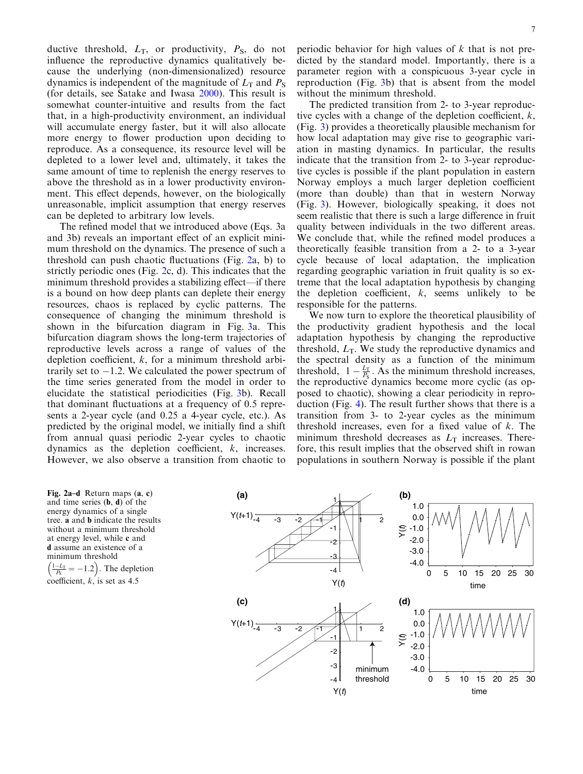ductive threshold,  $L_T$ , or productivity,  $P_S$ , do not influence the reproductive dynamics qualitatively because the underlying (non-dimensionalized) resource dynamics is independent of the magnitude of  $L_T$  and  $P_S$ (for details, see Satake and Iwasa [2000\)](#page-7-0). This result is somewhat counter-intuitive and results from the fact that, in a high-productivity environment, an individual will accumulate energy faster, but it will also allocate more energy to flower production upon deciding to reproduce. As a consequence, its resource level will be depleted to a lower level and, ultimately, it takes the same amount of time to replenish the energy reserves to above the threshold as in a lower productivity environment. This effect depends, however, on the biologically unreasonable, implicit assumption that energy reserves can be depleted to arbitrary low levels.

The refined model that we introduced above (Eqs. 3a and 3b) reveals an important effect of an explicit minimum threshold on the dynamics. The presence of such a threshold can push chaotic fluctuations (Fig. 2a, b) to strictly periodic ones (Fig. 2c, d). This indicates that the minimum threshold provides a stabilizing effect—if there is a bound on how deep plants can deplete their energy resources, chaos is replaced by cyclic patterns. The consequence of changing the minimum threshold is shown in the bifurcation diagram in Fig. [3](#page-5-0)a. This bifurcation diagram shows the long-term trajectories of reproductive levels across a range of values of the depletion coefficient,  $k$ , for a minimum threshold arbitrarily set to  $-1.2$ . We calculated the power spectrum of the time series generated from the model in order to elucidate the statistical periodicities (Fig. [3b](#page-5-0)). Recall that dominant fluctuations at a frequency of 0.5 represents a 2-year cycle (and 0.25 a 4-year cycle, etc.). As predicted by the original model, we initially find a shift from annual quasi periodic 2-year cycles to chaotic dynamics as the depletion coefficient, k, increases. However, we also observe a transition from chaotic to

periodic behavior for high values of  $k$  that is not predicted by the standard model. Importantly, there is a parameter region with a conspicuous 3-year cycle in reproduction (Fig. [3](#page-5-0)b) that is absent from the model without the minimum threshold.

The predicted transition from 2- to 3-year reproductive cycles with a change of the depletion coefficient,  $k$ , (Fig. [3\)](#page-5-0) provides a theoretically plausible mechanism for how local adaptation may give rise to geographic variation in masting dynamics. In particular, the results indicate that the transition from 2- to 3-year reproductive cycles is possible if the plant population in eastern Norway employs a much larger depletion coefficient (more than double) than that in western Norway (Fig. [3\)](#page-5-0). However, biologically speaking, it does not seem realistic that there is such a large difference in fruit quality between individuals in the two different areas. We conclude that, while the refined model produces a theoretically feasible transition from a 2- to a 3-year cycle because of local adaptation, the implication regarding geographic variation in fruit quality is so extreme that the local adaptation hypothesis by changing the depletion coefficient,  $k$ , seems unlikely to be responsible for the patterns.

We now turn to explore the theoretical plausibility of the productivity gradient hypothesis and the local adaptation hypothesis by changing the reproductive threshold,  $L_T$ . We study the reproductive dynamics and the spectral density as a function of the minimum threshold,  $1 - \frac{L_T}{P_S}$ . As the minimum threshold increases, the reproductive dynamics become more cyclic (as opposed to chaotic), showing a clear periodicity in reproduction (Fig. [4\)](#page-5-0). The result further shows that there is a transition from 3- to 2-year cycles as the minimum threshold increases, even for a fixed value of  $k$ . The minimum threshold decreases as  $L<sub>T</sub>$  increases. Therefore, this result implies that the observed shift in rowan populations in southern Norway is possible if the plant

Fig. 2a–d Return maps  $(a, c)$  (a) and time series (b, d) of the energy dynamics of a single tree. a and b indicate the results without a minimum threshold at energy level, while c and d assume an existence of a minimum threshold  $\left(\frac{1-L_T}{P_S} = -1.2\right)$ . The depletion coefficient,  $k$ , is set as 4.5

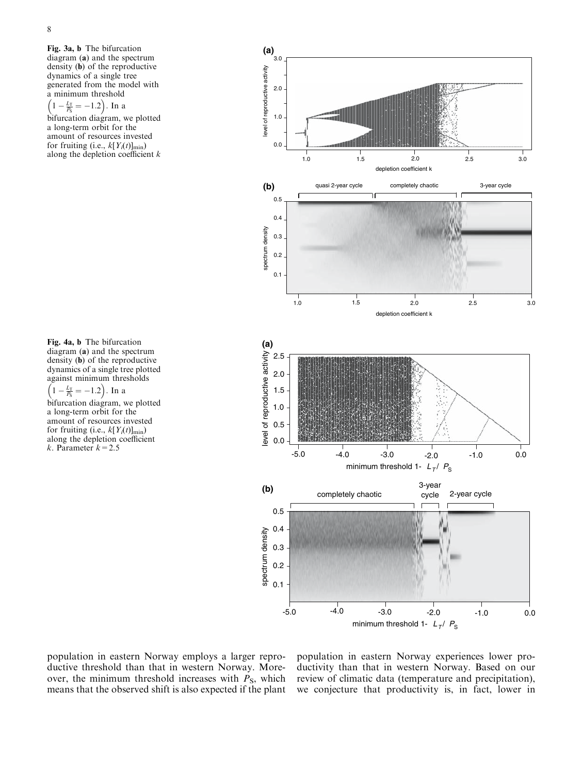<span id="page-5-0"></span>Fig. 3a, b The bifurcation diagram (a) and the spectrum density (b) of the reproductive dynamics of a single tree generated from the model with a minimum threshold -

 $1 - \frac{L_T}{P_S} = -1.2$ ). In a

bifurcation diagram, we plotted a long-term orbit for the amount of resources invested for fruiting (i.e.,  $k[Y_i(t)]_{\text{min}}$ ) along the depletion coefficient  $k$ 

Fig. 4a, b The bifurcation diagram (a) and the spectrum density (b) of the reproductive dynamics of a single tree plotted against minimum thresholds - $\frac{L_{\rm T}}{P_{\rm S}} = -1.2$ ). In a

 $(1$ bifurcation diagram, we plotted a long-term orbit for the amount of resources invested for fruiting (i.e.,  $k[Y_i(t)]_{\text{min}}$ ) along the depletion coefficient k. Parameter  $k=2.5$ 



population in eastern Norway employs a larger reproductive threshold than that in western Norway. Moreover, the minimum threshold increases with  $P<sub>S</sub>$ , which means that the observed shift is also expected if the plant

population in eastern Norway experiences lower productivity than that in western Norway. Based on our review of climatic data (temperature and precipitation), we conjecture that productivity is, in fact, lower in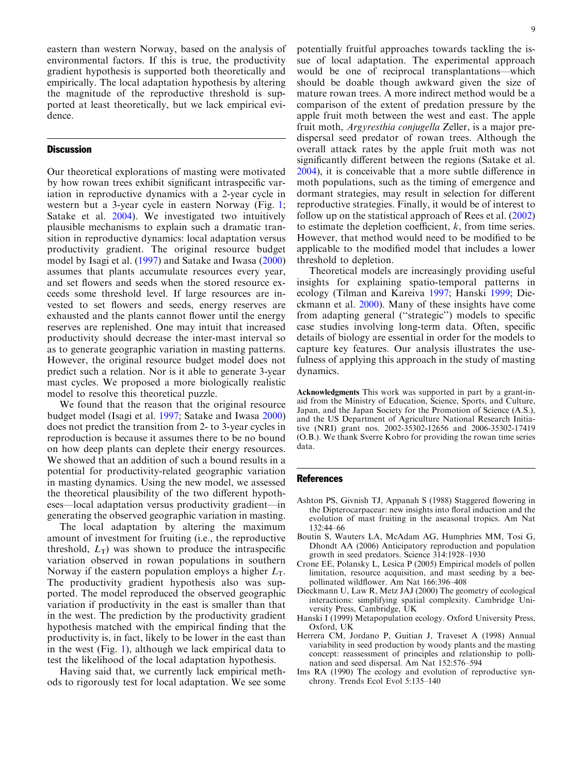<span id="page-6-0"></span>eastern than western Norway, based on the analysis of environmental factors. If this is true, the productivity gradient hypothesis is supported both theoretically and empirically. The local adaptation hypothesis by altering the magnitude of the reproductive threshold is supported at least theoretically, but we lack empirical evidence.

## **Discussion**

Our theoretical explorations of masting were motivated by how rowan trees exhibit significant intraspecific variation in reproductive dynamics with a 2-year cycle in western but a 3-year cycle in eastern Norway (Fig. [1](#page-2-0); Satake et al. [2004\)](#page-7-0). We investigated two intuitively plausible mechanisms to explain such a dramatic transition in reproductive dynamics: local adaptation versus productivity gradient. The original resource budget model by Isagi et al. [\(1997](#page-7-0)) and Satake and Iwasa [\(2000\)](#page-7-0) assumes that plants accumulate resources every year, and set flowers and seeds when the stored resource exceeds some threshold level. If large resources are invested to set flowers and seeds, energy reserves are exhausted and the plants cannot flower until the energy reserves are replenished. One may intuit that increased productivity should decrease the inter-mast interval so as to generate geographic variation in masting patterns. However, the original resource budget model does not predict such a relation. Nor is it able to generate 3-year mast cycles. We proposed a more biologically realistic model to resolve this theoretical puzzle.

We found that the reason that the original resource budget model (Isagi et al. [1997;](#page-7-0) Satake and Iwasa [2000\)](#page-7-0) does not predict the transition from 2- to 3-year cycles in reproduction is because it assumes there to be no bound on how deep plants can deplete their energy resources. We showed that an addition of such a bound results in a potential for productivity-related geographic variation in masting dynamics. Using the new model, we assessed the theoretical plausibility of the two different hypotheses—local adaptation versus productivity gradient—in generating the observed geographic variation in masting.

The local adaptation by altering the maximum amount of investment for fruiting (i.e., the reproductive threshold,  $L_T$ ) was shown to produce the intraspecific variation observed in rowan populations in southern Norway if the eastern population employs a higher  $L<sub>T</sub>$ . The productivity gradient hypothesis also was supported. The model reproduced the observed geographic variation if productivity in the east is smaller than that in the west. The prediction by the productivity gradient hypothesis matched with the empirical finding that the productivity is, in fact, likely to be lower in the east than in the west (Fig. [1\)](#page-2-0), although we lack empirical data to test the likelihood of the local adaptation hypothesis.

Having said that, we currently lack empirical methods to rigorously test for local adaptation. We see some

potentially fruitful approaches towards tackling the issue of local adaptation. The experimental approach would be one of reciprocal transplantations—which should be doable though awkward given the size of mature rowan trees. A more indirect method would be a comparison of the extent of predation pressure by the apple fruit moth between the west and east. The apple fruit moth, Argyresthia conjugella Zeller, is a major predispersal seed predator of rowan trees. Although the overall attack rates by the apple fruit moth was not significantly different between the regions (Satake et al. [2004\)](#page-7-0), it is conceivable that a more subtle difference in moth populations, such as the timing of emergence and dormant strategies, may result in selection for different reproductive strategies. Finally, it would be of interest to follow up on the statistical approach of Rees et al. [\(2002\)](#page-7-0) to estimate the depletion coefficient,  $k$ , from time series. However, that method would need to be modified to be applicable to the modified model that includes a lower threshold to depletion.

Theoretical models are increasingly providing useful insights for explaining spatio-temporal patterns in ecology (Tilman and Kareiva [1997;](#page-7-0) Hanski 1999; Dieckmann et al. 2000). Many of these insights have come from adapting general (''strategic'') models to specific case studies involving long-term data. Often, specific details of biology are essential in order for the models to capture key features. Our analysis illustrates the usefulness of applying this approach in the study of masting dynamics.

Acknowledgments This work was supported in part by a grant-inaid from the Ministry of Education, Science, Sports, and Culture, Japan, and the Japan Society for the Promotion of Science (A.S.), and the US Department of Agriculture National Research Initiative (NRI) grant nos. 2002-35302-12656 and 2006-35302-17419 (O.B.). We thank Sverre Kobro for providing the rowan time series data.

#### References

- Ashton PS, Givnish TJ, Appanah S (1988) Staggered flowering in the Dipterocarpacear: new insights into floral induction and the evolution of mast fruiting in the aseasonal tropics. Am Nat 132:44–66
- Boutin S, Wauters LA, McAdam AG, Humphries MM, Tosi G, Dhondt AA (2006) Anticipatory reproduction and population growth in seed predators. Science 314:1928–1930
- Crone EE, Polansky L, Lesica P (2005) Empirical models of pollen limitation, resource acquisition, and mast seeding by a beepollinated wildflower. Am Nat 166:396–408
- Dieckmann U, Law R, Metz JAJ (2000) The geometry of ecological interactions: simplifying spatial complexity. Cambridge University Press, Cambridge, UK
- Hanski I (1999) Metapopulation ecology. Oxford University Press, Oxford, UK
- Herrera CM, Jordano P, Guitian J, Traveset A (1998) Annual variability in seed production by woody plants and the masting concept: reassessment of principles and relationship to pollination and seed dispersal. Am Nat 152:576–594
- Ims RA (1990) The ecology and evolution of reproductive synchrony. Trends Ecol Evol 5:135–140